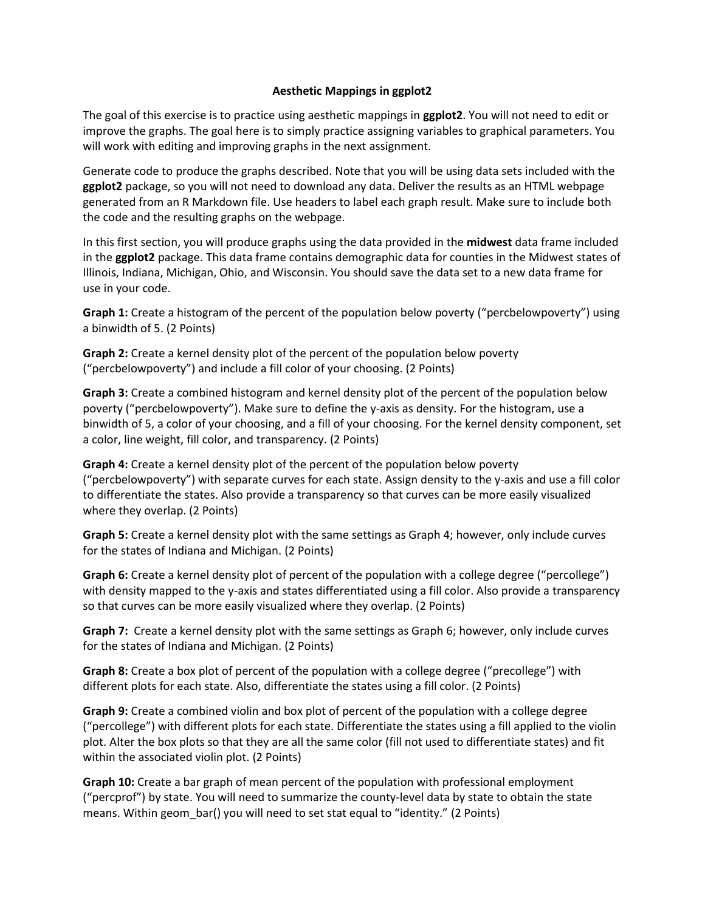## **Aesthetic Mappings in ggplot2**

The goal of this exercise is to practice using aesthetic mappings in **ggplot2**. You will not need to edit or improve the graphs. The goal here is to simply practice assigning variables to graphical parameters. You will work with editing and improving graphs in the next assignment.

Generate code to produce the graphs described. Note that you will be using data sets included with the **ggplot2** package, so you will not need to download any data. Deliver the results as an HTML webpage generated from an R Markdown file. Use headers to label each graph result. Make sure to include both the code and the resulting graphs on the webpage.

In this first section, you will produce graphs using the data provided in the **midwest** data frame included in the **ggplot2** package. This data frame contains demographic data for counties in the Midwest states of Illinois, Indiana, Michigan, Ohio, and Wisconsin. You should save the data set to a new data frame for use in your code.

**Graph 1:** Create a histogram of the percent of the population below poverty ("percbelowpoverty") using a binwidth of 5. (2 Points)

**Graph 2:** Create a kernel density plot of the percent of the population below poverty ("percbelowpoverty") and include a fill color of your choosing. (2 Points)

**Graph 3:** Create a combined histogram and kernel density plot of the percent of the population below poverty ("percbelowpoverty"). Make sure to define the y-axis as density. For the histogram, use a binwidth of 5, a color of your choosing, and a fill of your choosing. For the kernel density component, set a color, line weight, fill color, and transparency. (2 Points)

**Graph 4:** Create a kernel density plot of the percent of the population below poverty ("percbelowpoverty") with separate curves for each state. Assign density to the y-axis and use a fill color to differentiate the states. Also provide a transparency so that curves can be more easily visualized where they overlap. (2 Points)

**Graph 5:** Create a kernel density plot with the same settings as Graph 4; however, only include curves for the states of Indiana and Michigan. (2 Points)

**Graph 6:** Create a kernel density plot of percent of the population with a college degree ("percollege") with density mapped to the y-axis and states differentiated using a fill color. Also provide a transparency so that curves can be more easily visualized where they overlap. (2 Points)

**Graph 7:** Create a kernel density plot with the same settings as Graph 6; however, only include curves for the states of Indiana and Michigan. (2 Points)

**Graph 8:** Create a box plot of percent of the population with a college degree ("precollege") with different plots for each state. Also, differentiate the states using a fill color. (2 Points)

**Graph 9:** Create a combined violin and box plot of percent of the population with a college degree ("percollege") with different plots for each state. Differentiate the states using a fill applied to the violin plot. Alter the box plots so that they are all the same color (fill not used to differentiate states) and fit within the associated violin plot. (2 Points)

**Graph 10:** Create a bar graph of mean percent of the population with professional employment ("percprof") by state. You will need to summarize the county-level data by state to obtain the state means. Within geom\_bar() you will need to set stat equal to "identity." (2 Points)